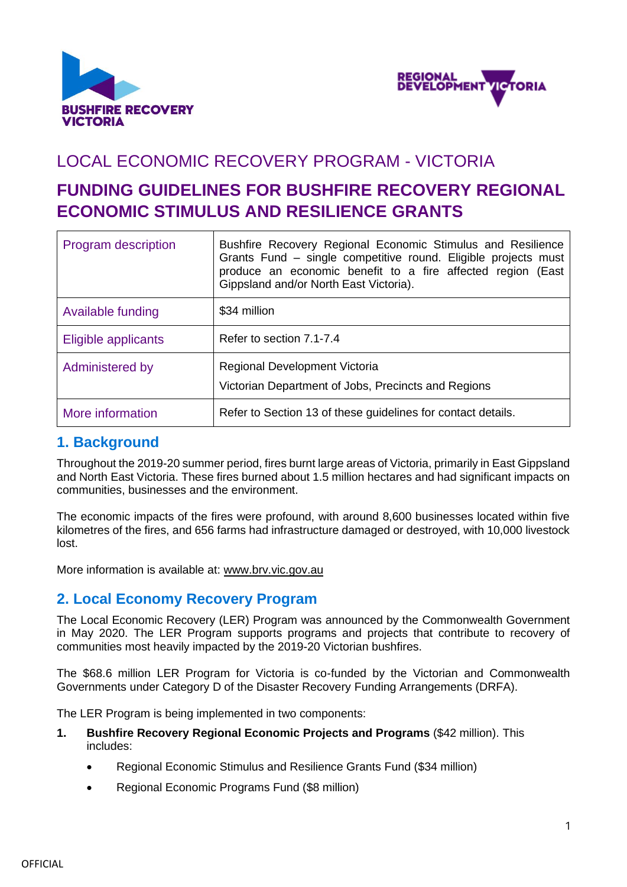



# LOCAL ECONOMIC RECOVERY PROGRAM - VICTORIA

# **FUNDING GUIDELINES FOR BUSHFIRE RECOVERY REGIONAL ECONOMIC STIMULUS AND RESILIENCE GRANTS**

| <b>Program description</b> | Bushfire Recovery Regional Economic Stimulus and Resilience<br>Grants Fund – single competitive round. Eligible projects must<br>produce an economic benefit to a fire affected region (East<br>Gippsland and/or North East Victoria). |  |
|----------------------------|----------------------------------------------------------------------------------------------------------------------------------------------------------------------------------------------------------------------------------------|--|
| Available funding          | \$34 million                                                                                                                                                                                                                           |  |
| Eligible applicants        | Refer to section 7.1-7.4                                                                                                                                                                                                               |  |
| Administered by            | Regional Development Victoria<br>Victorian Department of Jobs, Precincts and Regions                                                                                                                                                   |  |
| More information           | Refer to Section 13 of these guidelines for contact details.                                                                                                                                                                           |  |

### **1. Background**

Throughout the 2019-20 summer period, fires burnt large areas of Victoria, primarily in East Gippsland and North East Victoria. These fires burned about 1.5 million hectares and had significant impacts on communities, businesses and the environment.

The economic impacts of the fires were profound, with around 8,600 businesses located within five kilometres of the fires, and 656 farms had infrastructure damaged or destroyed, with 10,000 livestock lost.

More information is available at: [www.brv.vic.gov.au](http://www.brv.vic.gov.au/)

## **2. Local Economy Recovery Program**

The Local Economic Recovery (LER) Program was announced by the Commonwealth Government in May 2020. The LER Program supports programs and projects that contribute to recovery of communities most heavily impacted by the 2019-20 Victorian bushfires.

The \$68.6 million LER Program for Victoria is co-funded by the Victorian and Commonwealth Governments under Category D of the Disaster Recovery Funding Arrangements (DRFA).

The LER Program is being implemented in two components:

- **1. Bushfire Recovery Regional Economic Projects and Programs** (\$42 million). This includes:
	- Regional Economic Stimulus and Resilience Grants Fund (\$34 million)
	- Regional Economic Programs Fund (\$8 million)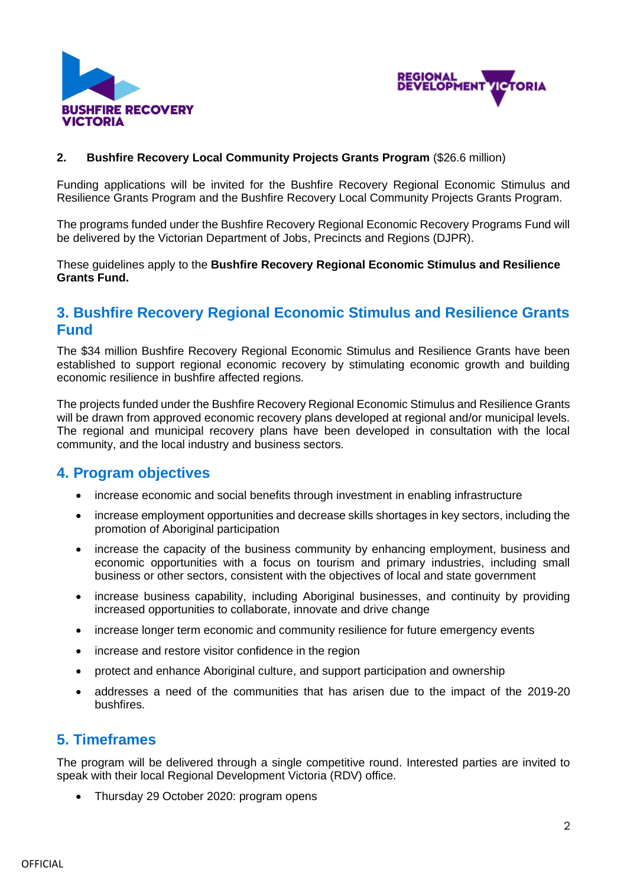



#### **2. Bushfire Recovery Local Community Projects Grants Program** (\$26.6 million)

Funding applications will be invited for the Bushfire Recovery Regional Economic Stimulus and Resilience Grants Program and the Bushfire Recovery Local Community Projects Grants Program.

The programs funded under the Bushfire Recovery Regional Economic Recovery Programs Fund will be delivered by the Victorian Department of Jobs, Precincts and Regions (DJPR).

These guidelines apply to the **Bushfire Recovery Regional Economic Stimulus and Resilience Grants Fund.**

## **3. Bushfire Recovery Regional Economic Stimulus and Resilience Grants Fund**

The \$34 million Bushfire Recovery Regional Economic Stimulus and Resilience Grants have been established to support regional economic recovery by stimulating economic growth and building economic resilience in bushfire affected regions.

The projects funded under the Bushfire Recovery Regional Economic Stimulus and Resilience Grants will be drawn from approved economic recovery plans developed at regional and/or municipal levels. The regional and municipal recovery plans have been developed in consultation with the local community, and the local industry and business sectors.

### **4. Program objectives**

- increase economic and social benefits through investment in enabling infrastructure
- increase employment opportunities and decrease skills shortages in key sectors, including the promotion of Aboriginal participation
- increase the capacity of the business community by enhancing employment, business and economic opportunities with a focus on tourism and primary industries, including small business or other sectors, consistent with the objectives of local and state government
- increase business capability, including Aboriginal businesses, and continuity by providing increased opportunities to collaborate, innovate and drive change
- increase longer term economic and community resilience for future emergency events
- increase and restore visitor confidence in the region
- protect and enhance Aboriginal culture, and support participation and ownership
- addresses a need of the communities that has arisen due to the impact of the 2019-20 bushfires.

## **5. Timeframes**

The program will be delivered through a single competitive round. Interested parties are invited to speak with their local Regional Development Victoria (RDV) office.

• Thursday 29 October 2020: program opens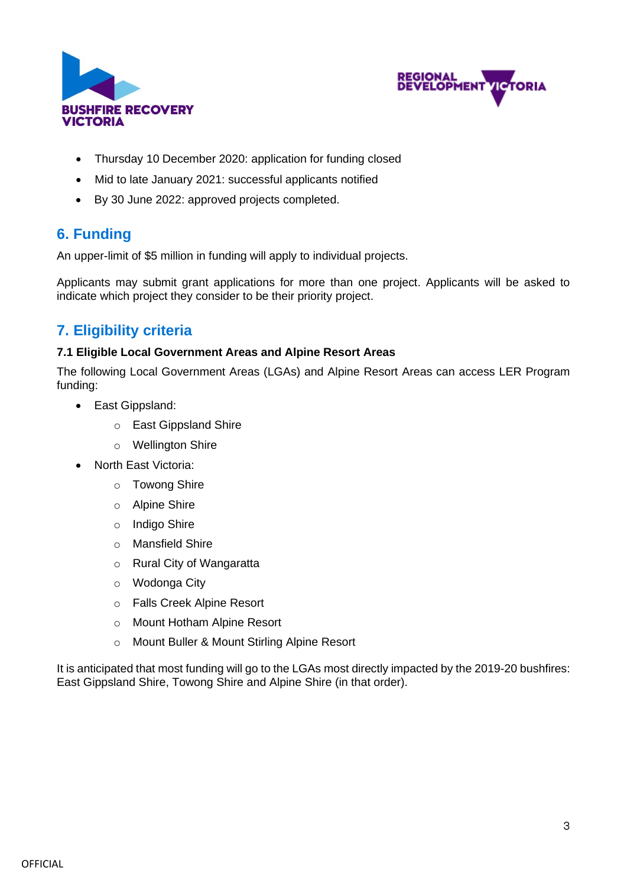



- Thursday 10 December 2020: application for funding closed
- Mid to late January 2021: successful applicants notified
- By 30 June 2022: approved projects completed.

## **6. Funding**

An upper-limit of \$5 million in funding will apply to individual projects.

Applicants may submit grant applications for more than one project. Applicants will be asked to indicate which project they consider to be their priority project.

## **7. Eligibility criteria**

### **7.1 Eligible Local Government Areas and Alpine Resort Areas**

The following Local Government Areas (LGAs) and Alpine Resort Areas can access LER Program funding:

- East Gippsland:
	- o East Gippsland Shire
	- o Wellington Shire
- North East Victoria:
	- o Towong Shire
	- o Alpine Shire
	- o Indigo Shire
	- o Mansfield Shire
	- o Rural City of Wangaratta
	- o Wodonga City
	- o Falls Creek Alpine Resort
	- o Mount Hotham Alpine Resort
	- o Mount Buller & Mount Stirling Alpine Resort

It is anticipated that most funding will go to the LGAs most directly impacted by the 2019-20 bushfires: East Gippsland Shire, Towong Shire and Alpine Shire (in that order).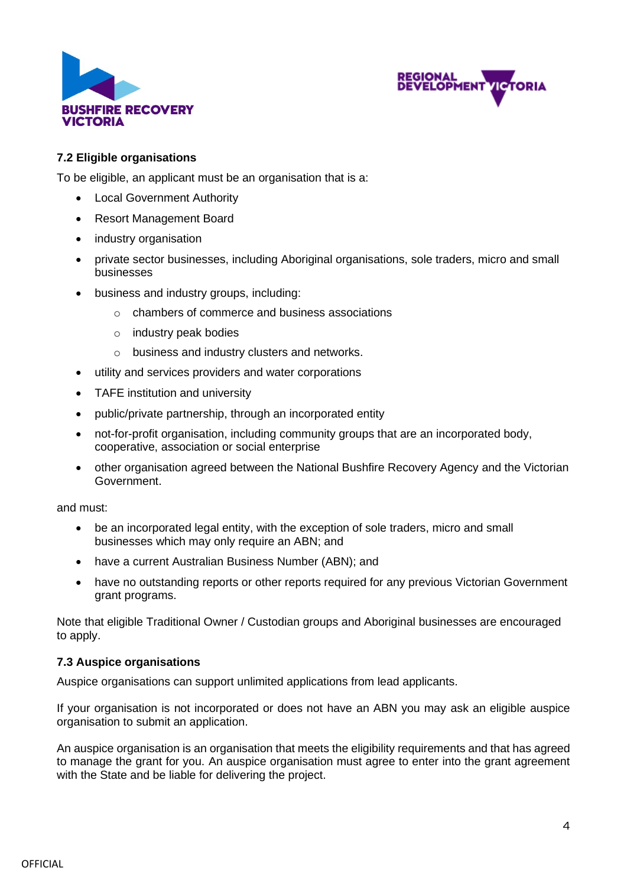



#### **7.2 Eligible organisations**

To be eligible, an applicant must be an organisation that is a:

- Local Government Authority
- Resort Management Board
- industry organisation
- private sector businesses, including Aboriginal organisations, sole traders, micro and small businesses
- business and industry groups, including:
	- o chambers of commerce and business associations
	- o industry peak bodies
	- o business and industry clusters and networks.
- utility and services providers and water corporations
- TAFE institution and university
- public/private partnership, through an incorporated entity
- not-for-profit organisation, including community groups that are an incorporated body, cooperative, association or social enterprise
- other organisation agreed between the National Bushfire Recovery Agency and the Victorian Government.

and must:

- be an incorporated legal entity, with the exception of sole traders, micro and small businesses which may only require an ABN; and
- have a current Australian Business Number (ABN); and
- have no outstanding reports or other reports required for any previous Victorian Government grant programs.

Note that eligible Traditional Owner / Custodian groups and Aboriginal businesses are encouraged to apply.

#### **7.3 Auspice organisations**

Auspice organisations can support unlimited applications from lead applicants.

If your organisation is not incorporated or does not have an ABN you may ask an eligible auspice organisation to submit an application.

An auspice organisation is an organisation that meets the eligibility requirements and that has agreed to manage the grant for you. An auspice organisation must agree to enter into the grant agreement with the State and be liable for delivering the project.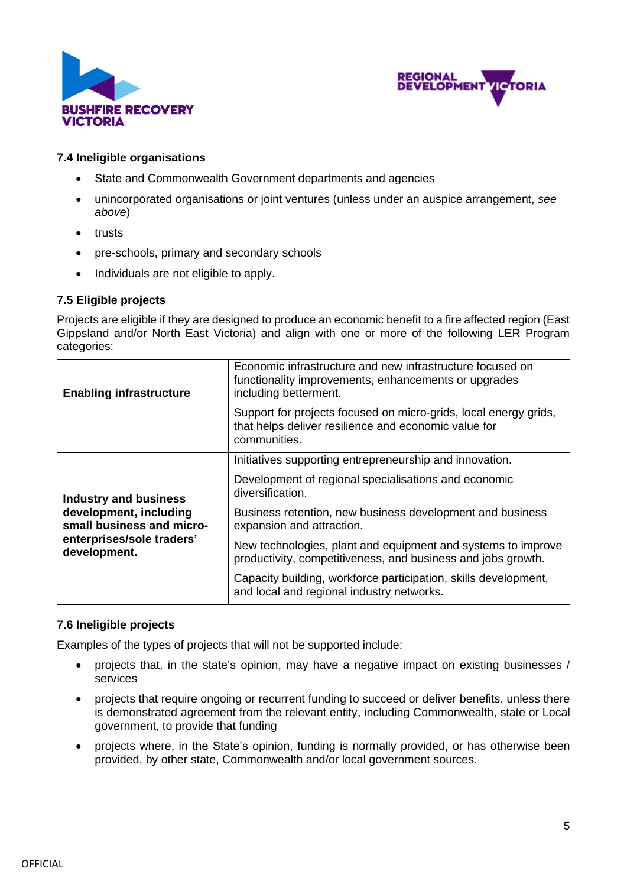



#### **7.4 Ineligible organisations**

- State and Commonwealth Government departments and agencies
- unincorporated organisations or joint ventures (unless under an auspice arrangement, *see above*)
- trusts
- pre-schools, primary and secondary schools
- Individuals are not eligible to apply.

#### **7.5 Eligible projects**

Projects are eligible if they are designed to produce an economic benefit to a fire affected region (East Gippsland and/or North East Victoria) and align with one or more of the following LER Program categories:

| <b>Enabling infrastructure</b>                                                                                                   | Economic infrastructure and new infrastructure focused on<br>functionality improvements, enhancements or upgrades<br>including betterment. |
|----------------------------------------------------------------------------------------------------------------------------------|--------------------------------------------------------------------------------------------------------------------------------------------|
|                                                                                                                                  | Support for projects focused on micro-grids, local energy grids,<br>that helps deliver resilience and economic value for<br>communities.   |
| <b>Industry and business</b><br>development, including<br>small business and micro-<br>enterprises/sole traders'<br>development. | Initiatives supporting entrepreneurship and innovation.                                                                                    |
|                                                                                                                                  | Development of regional specialisations and economic<br>diversification.                                                                   |
|                                                                                                                                  | Business retention, new business development and business<br>expansion and attraction.                                                     |
|                                                                                                                                  | New technologies, plant and equipment and systems to improve<br>productivity, competitiveness, and business and jobs growth.               |
|                                                                                                                                  | Capacity building, workforce participation, skills development,<br>and local and regional industry networks.                               |

#### **7.6 Ineligible projects**

Examples of the types of projects that will not be supported include:

- projects that, in the state's opinion, may have a negative impact on existing businesses / services
- projects that require ongoing or recurrent funding to succeed or deliver benefits, unless there is demonstrated agreement from the relevant entity, including Commonwealth, state or Local government, to provide that funding
- projects where, in the State's opinion, funding is normally provided, or has otherwise been provided, by other state, Commonwealth and/or local government sources.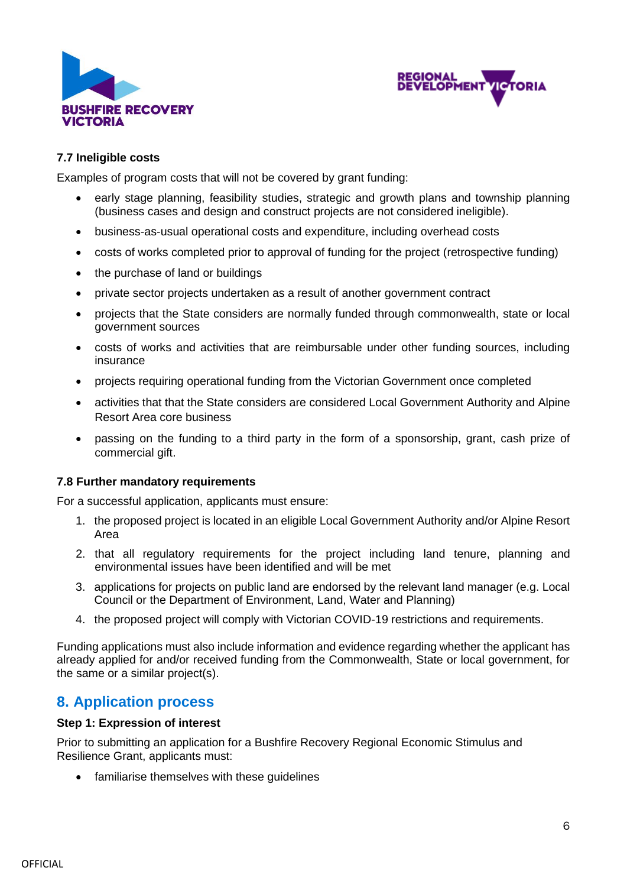



#### **7.7 Ineligible costs**

Examples of program costs that will not be covered by grant funding:

- early stage planning, feasibility studies, strategic and growth plans and township planning (business cases and design and construct projects are not considered ineligible).
- business-as-usual operational costs and expenditure, including overhead costs
- costs of works completed prior to approval of funding for the project (retrospective funding)
- the purchase of land or buildings
- private sector projects undertaken as a result of another government contract
- projects that the State considers are normally funded through commonwealth, state or local government sources
- costs of works and activities that are reimbursable under other funding sources, including insurance
- projects requiring operational funding from the Victorian Government once completed
- activities that that the State considers are considered Local Government Authority and Alpine Resort Area core business
- passing on the funding to a third party in the form of a sponsorship, grant, cash prize of commercial gift.

#### **7.8 Further mandatory requirements**

For a successful application, applicants must ensure:

- 1. the proposed project is located in an eligible Local Government Authority and/or Alpine Resort Area
- 2. that all regulatory requirements for the project including land tenure, planning and environmental issues have been identified and will be met
- 3. applications for projects on public land are endorsed by the relevant land manager (e.g. Local Council or the Department of Environment, Land, Water and Planning)
- 4. the proposed project will comply with Victorian COVID-19 restrictions and requirements.

Funding applications must also include information and evidence regarding whether the applicant has already applied for and/or received funding from the Commonwealth, State or local government, for the same or a similar project(s).

### **8. Application process**

#### **Step 1: Expression of interest**

Prior to submitting an application for a Bushfire Recovery Regional Economic Stimulus and Resilience Grant, applicants must:

• familiarise themselves with these guidelines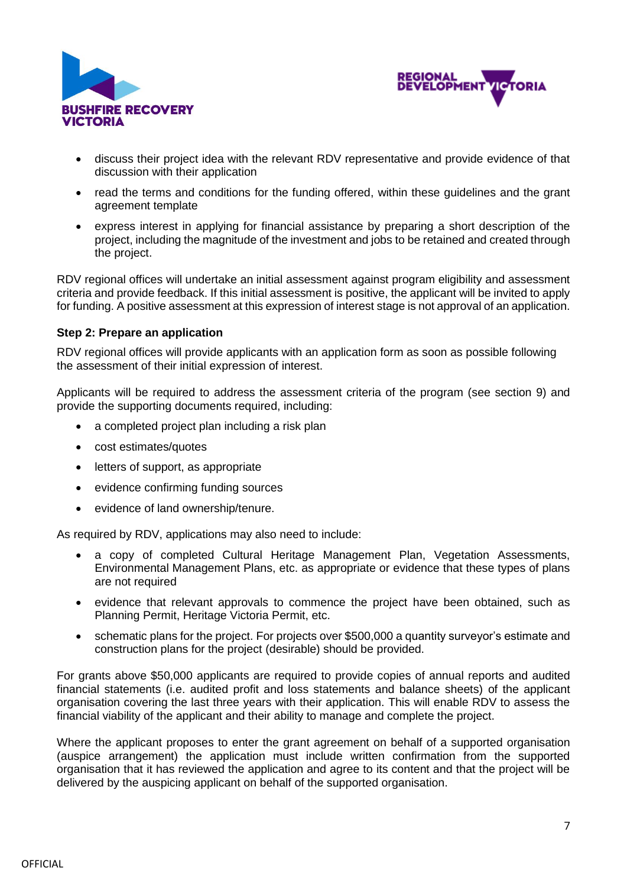



- discuss their project idea with the relevant RDV representative and provide evidence of that discussion with their application
- read the terms and conditions for the funding offered, within these guidelines and the grant agreement template
- express interest in applying for financial assistance by preparing a short description of the project, including the magnitude of the investment and jobs to be retained and created through the project.

RDV regional offices will undertake an initial assessment against program eligibility and assessment criteria and provide feedback. If this initial assessment is positive, the applicant will be invited to apply for funding. A positive assessment at this expression of interest stage is not approval of an application.

#### **Step 2: Prepare an application**

RDV regional offices will provide applicants with an application form as soon as possible following the assessment of their initial expression of interest.

Applicants will be required to address the assessment criteria of the program (see section 9) and provide the supporting documents required, including:

- a completed project plan including a risk plan
- cost estimates/quotes
- letters of support, as appropriate
- evidence confirming funding sources
- evidence of land ownership/tenure.

As required by RDV, applications may also need to include:

- a copy of completed Cultural Heritage Management Plan, Vegetation Assessments, Environmental Management Plans, etc. as appropriate or evidence that these types of plans are not required
- evidence that relevant approvals to commence the project have been obtained, such as Planning Permit, Heritage Victoria Permit, etc.
- schematic plans for the project. For projects over \$500,000 a quantity surveyor's estimate and construction plans for the project (desirable) should be provided.

For grants above \$50,000 applicants are required to provide copies of annual reports and audited financial statements (i.e. audited profit and loss statements and balance sheets) of the applicant organisation covering the last three years with their application. This will enable RDV to assess the financial viability of the applicant and their ability to manage and complete the project.

Where the applicant proposes to enter the grant agreement on behalf of a supported organisation (auspice arrangement) the application must include written confirmation from the supported organisation that it has reviewed the application and agree to its content and that the project will be delivered by the auspicing applicant on behalf of the supported organisation.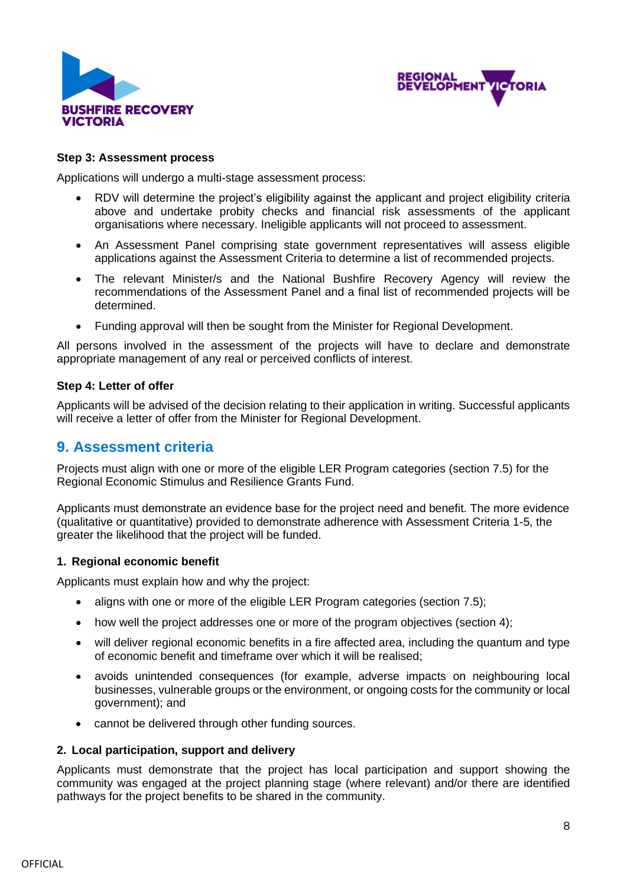



#### **Step 3: Assessment process**

Applications will undergo a multi-stage assessment process:

- RDV will determine the project's eligibility against the applicant and project eligibility criteria above and undertake probity checks and financial risk assessments of the applicant organisations where necessary. Ineligible applicants will not proceed to assessment.
- An Assessment Panel comprising state government representatives will assess eligible applications against the Assessment Criteria to determine a list of recommended projects.
- The relevant Minister/s and the National Bushfire Recovery Agency will review the recommendations of the Assessment Panel and a final list of recommended projects will be determined.
- Funding approval will then be sought from the Minister for Regional Development.

All persons involved in the assessment of the projects will have to declare and demonstrate appropriate management of any real or perceived conflicts of interest.

#### **Step 4: Letter of offer**

Applicants will be advised of the decision relating to their application in writing. Successful applicants will receive a letter of offer from the Minister for Regional Development.

### **9. Assessment criteria**

Projects must align with one or more of the eligible LER Program categories (section 7.5) for the Regional Economic Stimulus and Resilience Grants Fund.

Applicants must demonstrate an evidence base for the project need and benefit. The more evidence (qualitative or quantitative) provided to demonstrate adherence with Assessment Criteria 1-5, the greater the likelihood that the project will be funded.

#### **1. Regional economic benefit**

Applicants must explain how and why the project:

- aligns with one or more of the eligible LER Program categories (section 7.5);
- how well the project addresses one or more of the program objectives (section 4);
- will deliver regional economic benefits in a fire affected area, including the quantum and type of economic benefit and timeframe over which it will be realised;
- avoids unintended consequences (for example, adverse impacts on neighbouring local businesses, vulnerable groups or the environment, or ongoing costs for the community or local government); and
- cannot be delivered through other funding sources.

#### **2. Local participation, support and delivery**

Applicants must demonstrate that the project has local participation and support showing the community was engaged at the project planning stage (where relevant) and/or there are identified pathways for the project benefits to be shared in the community.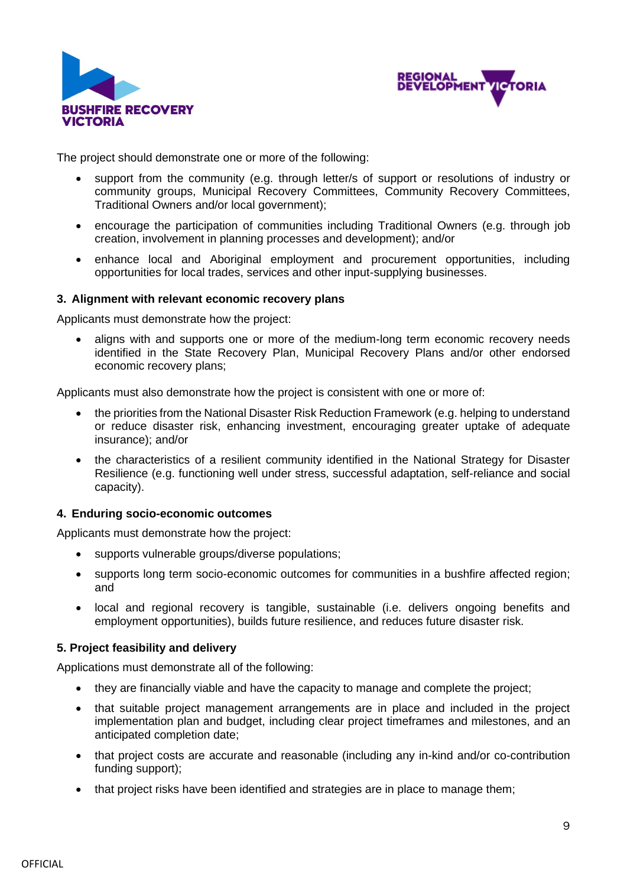



The project should demonstrate one or more of the following:

- support from the community (e.g. through letter/s of support or resolutions of industry or community groups, Municipal Recovery Committees, Community Recovery Committees, Traditional Owners and/or local government);
- encourage the participation of communities including Traditional Owners (e.g. through job creation, involvement in planning processes and development); and/or
- enhance local and Aboriginal employment and procurement opportunities, including opportunities for local trades, services and other input-supplying businesses.

#### **3. Alignment with relevant economic recovery plans**

Applicants must demonstrate how the project:

• aligns with and supports one or more of the medium-long term economic recovery needs identified in the State Recovery Plan, Municipal Recovery Plans and/or other endorsed economic recovery plans;

Applicants must also demonstrate how the project is consistent with one or more of:

- the priorities from the National Disaster Risk Reduction Framework (e.g. helping to understand or reduce disaster risk, enhancing investment, encouraging greater uptake of adequate insurance); and/or
- the characteristics of a resilient community identified in the National Strategy for Disaster Resilience (e.g. functioning well under stress, successful adaptation, self-reliance and social capacity).

#### **4. Enduring socio-economic outcomes**

Applicants must demonstrate how the project:

- supports vulnerable groups/diverse populations;
- supports long term socio-economic outcomes for communities in a bushfire affected region; and
- local and regional recovery is tangible, sustainable (i.e. delivers ongoing benefits and employment opportunities), builds future resilience, and reduces future disaster risk.

#### **5. Project feasibility and delivery**

Applications must demonstrate all of the following:

- they are financially viable and have the capacity to manage and complete the project;
- that suitable project management arrangements are in place and included in the project implementation plan and budget, including clear project timeframes and milestones, and an anticipated completion date;
- that project costs are accurate and reasonable (including any in-kind and/or co-contribution funding support);
- that project risks have been identified and strategies are in place to manage them;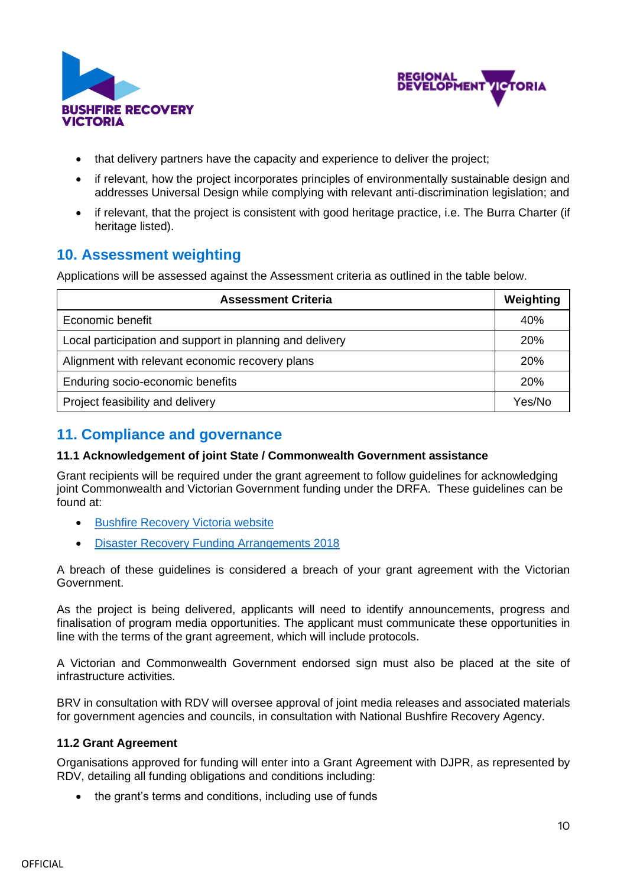



- that delivery partners have the capacity and experience to deliver the project;
- if relevant, how the project incorporates principles of environmentally sustainable design and addresses Universal Design while complying with relevant anti-discrimination legislation; and
- if relevant, that the project is consistent with good heritage practice, i.e. The Burra Charter (if heritage listed).

## **10. Assessment weighting**

Applications will be assessed against the Assessment criteria as outlined in the table below.

| <b>Assessment Criteria</b>                               |     |
|----------------------------------------------------------|-----|
| Economic benefit                                         | 40% |
| Local participation and support in planning and delivery |     |
| Alignment with relevant economic recovery plans          |     |
| Enduring socio-economic benefits                         |     |
| Project feasibility and delivery                         |     |

## **11. Compliance and governance**

#### **11.1 Acknowledgement of joint State / Commonwealth Government assistance**

Grant recipients will be required under the grant agreement to follow guidelines for acknowledging joint Commonwealth and Victorian Government funding under the DRFA. These guidelines can be found at:

- **[Bushfire Recovery Victoria website](https://www.vic.gov.au/bushfire-recovery-victoria)**
- [Disaster Recovery Funding Arrangements 2018](http://www.disasterassist.gov.au/Documents/Natural-Disaster-Relief-and-Recovery-Arrangements/disaster-recovery-funding-arrangements-2018.pdf)

A breach of these guidelines is considered a breach of your grant agreement with the Victorian Government.

As the project is being delivered, applicants will need to identify announcements, progress and finalisation of program media opportunities. The applicant must communicate these opportunities in line with the terms of the grant agreement, which will include protocols.

A Victorian and Commonwealth Government endorsed sign must also be placed at the site of infrastructure activities.

BRV in consultation with RDV will oversee approval of joint media releases and associated materials for government agencies and councils, in consultation with National Bushfire Recovery Agency.

### **11.2 Grant Agreement**

Organisations approved for funding will enter into a Grant Agreement with DJPR, as represented by RDV, detailing all funding obligations and conditions including:

• the grant's terms and conditions, including use of funds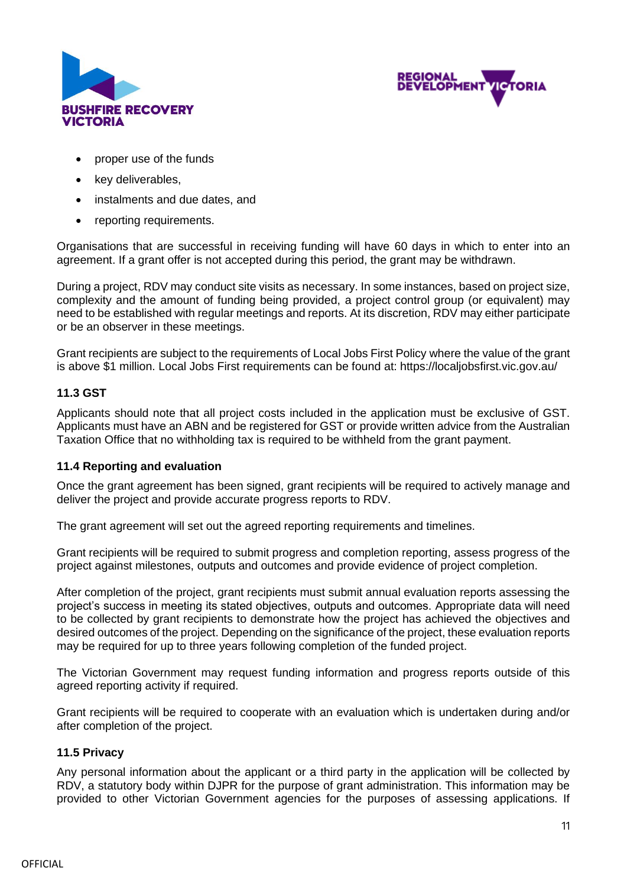



- proper use of the funds
- key deliverables,
- instalments and due dates, and
- reporting requirements.

Organisations that are successful in receiving funding will have 60 days in which to enter into an agreement. If a grant offer is not accepted during this period, the grant may be withdrawn.

During a project, RDV may conduct site visits as necessary. In some instances, based on project size, complexity and the amount of funding being provided, a project control group (or equivalent) may need to be established with regular meetings and reports. At its discretion, RDV may either participate or be an observer in these meetings.

Grant recipients are subject to the requirements of Local Jobs First Policy where the value of the grant is above \$1 million. Local Jobs First requirements can be found at: <https://localjobsfirst.vic.gov.au/>

#### **11.3 GST**

Applicants should note that all project costs included in the application must be exclusive of GST. Applicants must have an ABN and be registered for GST or provide written advice from the Australian Taxation Office that no withholding tax is required to be withheld from the grant payment.

#### **11.4 Reporting and evaluation**

Once the grant agreement has been signed, grant recipients will be required to actively manage and deliver the project and provide accurate progress reports to RDV.

The grant agreement will set out the agreed reporting requirements and timelines.

Grant recipients will be required to submit progress and completion reporting, assess progress of the project against milestones, outputs and outcomes and provide evidence of project completion.

After completion of the project, grant recipients must submit annual evaluation reports assessing the project's success in meeting its stated objectives, outputs and outcomes. Appropriate data will need to be collected by grant recipients to demonstrate how the project has achieved the objectives and desired outcomes of the project. Depending on the significance of the project, these evaluation reports may be required for up to three years following completion of the funded project.

The Victorian Government may request funding information and progress reports outside of this agreed reporting activity if required.

Grant recipients will be required to cooperate with an evaluation which is undertaken during and/or after completion of the project.

#### **11.5 Privacy**

Any personal information about the applicant or a third party in the application will be collected by RDV, a statutory body within DJPR for the purpose of grant administration. This information may be provided to other Victorian Government agencies for the purposes of assessing applications. If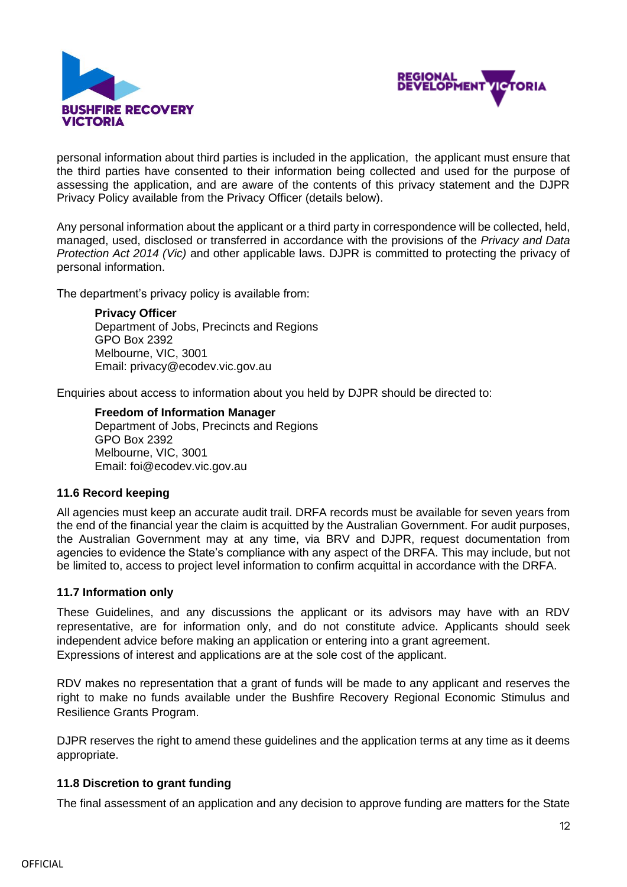



personal information about third parties is included in the application, the applicant must ensure that the third parties have consented to their information being collected and used for the purpose of assessing the application, and are aware of the contents of this privacy statement and the DJPR Privacy Policy available from the Privacy Officer (details below).

Any personal information about the applicant or a third party in correspondence will be collected, held, managed, used, disclosed or transferred in accordance with the provisions of the *Privacy and Data Protection Act 2014 (Vic)* and other applicable laws. DJPR is committed to protecting the privacy of personal information.

The department's privacy policy is available from:

**Privacy Officer** Department of Jobs, Precincts and Regions GPO Box 2392 Melbourne, VIC, 3001 Email: privacy@ecodev.vic.gov.au

Enquiries about access to information about you held by DJPR should be directed to:

#### **Freedom of Information Manager**

Department of Jobs, Precincts and Regions GPO Box 2392 Melbourne, VIC, 3001 Email: foi@ecodev.vic.gov.au

#### **11.6 Record keeping**

All agencies must keep an accurate audit trail. DRFA records must be available for seven years from the end of the financial year the claim is acquitted by the Australian Government. For audit purposes, the Australian Government may at any time, via BRV and DJPR, request documentation from agencies to evidence the State's compliance with any aspect of the DRFA. This may include, but not be limited to, access to project level information to confirm acquittal in accordance with the DRFA.

#### **11.7 Information only**

These Guidelines, and any discussions the applicant or its advisors may have with an RDV representative, are for information only, and do not constitute advice. Applicants should seek independent advice before making an application or entering into a grant agreement. Expressions of interest and applications are at the sole cost of the applicant.

RDV makes no representation that a grant of funds will be made to any applicant and reserves the right to make no funds available under the Bushfire Recovery Regional Economic Stimulus and Resilience Grants Program.

DJPR reserves the right to amend these guidelines and the application terms at any time as it deems appropriate.

#### **11.8 Discretion to grant funding**

The final assessment of an application and any decision to approve funding are matters for the State